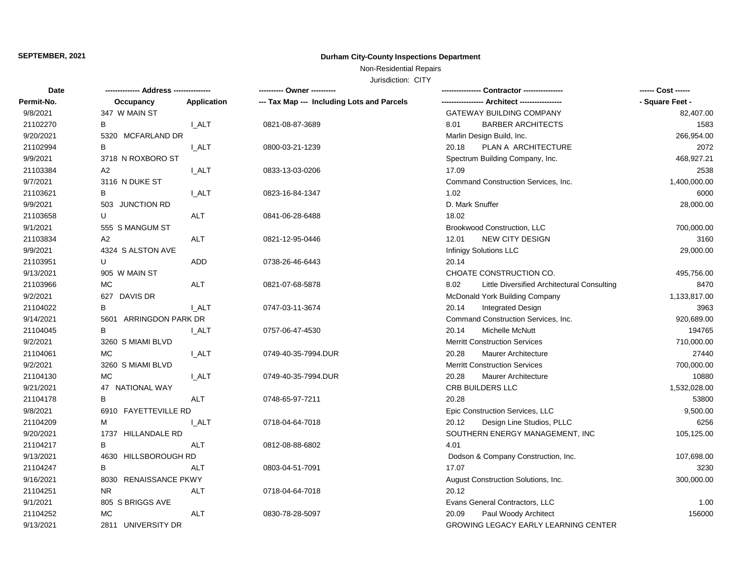# **SEPTEMBER, 2021 Durham City-County Inspections Department**

# Non-Residential Repairs

Jurisdiction: CITY

| Date       |                        |              | ---------- Owner ----------                |                                                     | ------ Cost ------ |
|------------|------------------------|--------------|--------------------------------------------|-----------------------------------------------------|--------------------|
| Permit-No. | Occupancy              | Application  | --- Tax Map --- Including Lots and Parcels | -- Architect -----                                  | - Square Feet -    |
| 9/8/2021   | 347 W MAIN ST          |              |                                            | GATEWAY BUILDING COMPANY                            | 82,407.00          |
| 21102270   | B                      | I ALT        | 0821-08-87-3689                            | <b>BARBER ARCHITECTS</b><br>8.01                    | 1583               |
| 9/20/2021  | 5320 MCFARLAND DR      |              |                                            | Marlin Design Build, Inc.                           | 266,954.00         |
| 21102994   | В                      | I_ALT        | 0800-03-21-1239                            | PLAN A ARCHITECTURE<br>20.18                        | 2072               |
| 9/9/2021   | 3718 N ROXBORO ST      |              |                                            | Spectrum Building Company, Inc.                     | 468,927.21         |
| 21103384   | A <sub>2</sub>         | <b>LALT</b>  | 0833-13-03-0206                            | 17.09                                               | 2538               |
| 9/7/2021   | 3116 N DUKE ST         |              |                                            | Command Construction Services, Inc.                 | 1,400,000.00       |
| 21103621   | В                      | <b>L_ALT</b> | 0823-16-84-1347                            | 1.02                                                | 6000               |
| 9/9/2021   | 503 JUNCTION RD        |              |                                            | D. Mark Snuffer                                     | 28,000.00          |
| 21103658   | U                      | ALT          | 0841-06-28-6488                            | 18.02                                               |                    |
| 9/1/2021   | 555 S MANGUM ST        |              |                                            | Brookwood Construction, LLC                         | 700,000.00         |
| 21103834   | A2                     | ALT          | 0821-12-95-0446                            | <b>NEW CITY DESIGN</b><br>12.01                     | 3160               |
| 9/9/2021   | 4324 S ALSTON AVE      |              |                                            | Infinigy Solutions LLC                              | 29,000.00          |
| 21103951   | U                      | ADD          | 0738-26-46-6443                            | 20.14                                               |                    |
| 9/13/2021  | 905 W MAIN ST          |              |                                            | CHOATE CONSTRUCTION CO.                             | 495,756.00         |
| 21103966   | МC                     | ALT          | 0821-07-68-5878                            | Little Diversified Architectural Consulting<br>8.02 | 8470               |
| 9/2/2021   | 627 DAVIS DR           |              |                                            | McDonald York Building Company                      | 1,133,817.00       |
| 21104022   | B                      | I ALT        | 0747-03-11-3674                            | <b>Integrated Design</b><br>20.14                   | 3963               |
| 9/14/2021  | 5601 ARRINGDON PARK DR |              |                                            | Command Construction Services, Inc.                 | 920,689.00         |
| 21104045   | В                      | <b>LALT</b>  | 0757-06-47-4530                            | Michelle McNutt<br>20.14                            | 194765             |
| 9/2/2021   | 3260 S MIAMI BLVD      |              |                                            | <b>Merritt Construction Services</b>                | 710,000.00         |
| 21104061   | МC                     | <b>L_ALT</b> | 0749-40-35-7994.DUR                        | 20.28<br><b>Maurer Architecture</b>                 | 27440              |
| 9/2/2021   | 3260 S MIAMI BLVD      |              |                                            | <b>Merritt Construction Services</b>                | 700,000.00         |
| 21104130   | <b>MC</b>              | I ALT        | 0749-40-35-7994.DUR                        | 20.28<br><b>Maurer Architecture</b>                 | 10880              |
| 9/21/2021  | 47 NATIONAL WAY        |              |                                            | CRB BUILDERS LLC                                    | 1,532,028.00       |
| 21104178   | B                      | <b>ALT</b>   | 0748-65-97-7211                            | 20.28                                               | 53800              |
| 9/8/2021   | 6910 FAYETTEVILLE RD   |              |                                            | Epic Construction Services, LLC                     | 9,500.00           |
| 21104209   | М                      | <b>LALT</b>  | 0718-04-64-7018                            | Design Line Studios, PLLC<br>20.12                  | 6256               |
| 9/20/2021  | 1737 HILLANDALE RD     |              |                                            | SOUTHERN ENERGY MANAGEMENT, INC                     | 105,125.00         |
| 21104217   | B                      | <b>ALT</b>   | 0812-08-88-6802                            | 4.01                                                |                    |
| 9/13/2021  | 4630 HILLSBOROUGH RD   |              |                                            | Dodson & Company Construction, Inc.                 | 107,698.00         |
| 21104247   | B                      | <b>ALT</b>   | 0803-04-51-7091                            | 17.07                                               | 3230               |
| 9/16/2021  | 8030 RENAISSANCE PKWY  |              |                                            | August Construction Solutions, Inc.                 | 300,000.00         |
| 21104251   | <b>NR</b>              | <b>ALT</b>   | 0718-04-64-7018                            | 20.12                                               |                    |
| 9/1/2021   | 805 S BRIGGS AVE       |              |                                            | Evans General Contractors, LLC                      | 1.00               |
| 21104252   | MC                     | <b>ALT</b>   | 0830-78-28-5097                            | Paul Woody Architect<br>20.09                       | 156000             |
| 9/13/2021  | 2811 UNIVERSITY DR     |              |                                            | GROWING LEGACY EARLY LEARNING CENTER                |                    |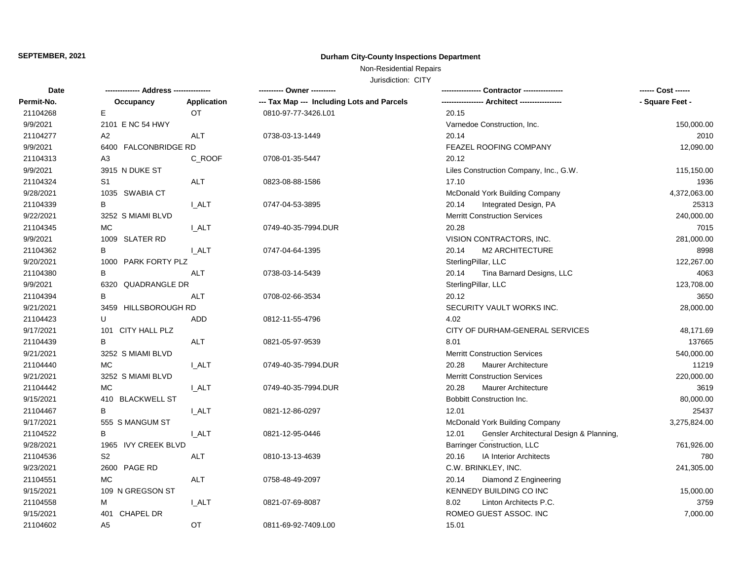# **SEPTEMBER, 2021 Durham City-County Inspections Department**

Non-Residential Repairs

Jurisdiction: CITY

| Date       |                         |              | ---------- Owner ----------                |                                                   | ------ Cost ------ |
|------------|-------------------------|--------------|--------------------------------------------|---------------------------------------------------|--------------------|
| Permit-No. | Occupancy               | Application  | --- Tax Map --- Including Lots and Parcels |                                                   | - Square Feet -    |
| 21104268   | Е                       | <b>OT</b>    | 0810-97-77-3426.L01                        | 20.15                                             |                    |
| 9/9/2021   | 2101 E NC 54 HWY        |              |                                            | Varnedoe Construction, Inc.                       | 150,000.00         |
| 21104277   | A <sub>2</sub>          | <b>ALT</b>   | 0738-03-13-1449                            | 20.14                                             | 2010               |
| 9/9/2021   | 6400 FALCONBRIDGE RD    |              |                                            | FEAZEL ROOFING COMPANY                            | 12,090.00          |
| 21104313   | A <sub>3</sub>          | C ROOF       | 0708-01-35-5447                            | 20.12                                             |                    |
| 9/9/2021   | 3915 N DUKE ST          |              |                                            | Liles Construction Company, Inc., G.W.            | 115,150.00         |
| 21104324   | S1                      | ALT          | 0823-08-88-1586                            | 17.10                                             | 1936               |
| 9/28/2021  | 1035 SWABIA CT          |              |                                            | McDonald York Building Company                    | 4,372,063.00       |
| 21104339   | В                       | <b>L_ALT</b> | 0747-04-53-3895                            | Integrated Design, PA<br>20.14                    | 25313              |
| 9/22/2021  | 3252 S MIAMI BLVD       |              |                                            | <b>Merritt Construction Services</b>              | 240,000.00         |
| 21104345   | МC                      | <b>L_ALT</b> | 0749-40-35-7994.DUR                        | 20.28                                             | 7015               |
| 9/9/2021   | 1009 SLATER RD          |              |                                            | VISION CONTRACTORS, INC.                          | 281,000.00         |
| 21104362   | B                       | I ALT        | 0747-04-64-1395                            | 20.14<br><b>M2 ARCHITECTURE</b>                   | 8998               |
| 9/20/2021  | 1000 PARK FORTY PLZ     |              |                                            | SterlingPillar, LLC                               | 122,267.00         |
| 21104380   | В                       | ALT          | 0738-03-14-5439                            | Tina Barnard Designs, LLC<br>20.14                | 4063               |
| 9/9/2021   | 6320 QUADRANGLE DR      |              |                                            | SterlingPillar, LLC                               | 123,708.00         |
| 21104394   | В                       | <b>ALT</b>   | 0708-02-66-3534                            | 20.12                                             | 3650               |
| 9/21/2021  | 3459 HILLSBOROUGH RD    |              |                                            | SECURITY VAULT WORKS INC.                         | 28,000.00          |
| 21104423   | U                       | ADD          | 0812-11-55-4796                            | 4.02                                              |                    |
| 9/17/2021  | 101 CITY HALL PLZ       |              |                                            | CITY OF DURHAM-GENERAL SERVICES                   | 48,171.69          |
| 21104439   | B                       | <b>ALT</b>   | 0821-05-97-9539                            | 8.01                                              | 137665             |
| 9/21/2021  | 3252 S MIAMI BLVD       |              |                                            | <b>Merritt Construction Services</b>              | 540,000.00         |
| 21104440   | МC                      | <b>L_ALT</b> | 0749-40-35-7994.DUR                        | 20.28<br>Maurer Architecture                      | 11219              |
| 9/21/2021  | 3252 S MIAMI BLVD       |              |                                            | <b>Merritt Construction Services</b>              | 220,000.00         |
| 21104442   | МC                      | <b>LALT</b>  | 0749-40-35-7994.DUR                        | 20.28<br><b>Maurer Architecture</b>               | 3619               |
| 9/15/2021  | 410 BLACKWELL ST        |              |                                            | Bobbitt Construction Inc.                         | 80,000.00          |
| 21104467   | B                       | I_ALT        | 0821-12-86-0297                            | 12.01                                             | 25437              |
| 9/17/2021  | 555 S MANGUM ST         |              |                                            | McDonald York Building Company                    | 3,275,824.00       |
| 21104522   | B                       | I_ALT        | 0821-12-95-0446                            | Gensler Architectural Design & Planning,<br>12.01 |                    |
| 9/28/2021  | 1965 IVY CREEK BLVD     |              |                                            | <b>Barringer Construction, LLC</b>                | 761,926.00         |
| 21104536   | S2                      | ALT          | 0810-13-13-4639                            | 20.16<br><b>IA Interior Architects</b>            | 780                |
| 9/23/2021  | 2600 PAGE RD            |              |                                            | C.W. BRINKLEY, INC.                               | 241,305.00         |
| 21104551   | <b>MC</b>               | ALT          | 0758-48-49-2097                            | Diamond Z Engineering<br>20.14                    |                    |
| 9/15/2021  | 109 N GREGSON ST        |              |                                            | KENNEDY BUILDING CO INC                           | 15,000.00          |
| 21104558   | м                       | <b>L_ALT</b> | 0821-07-69-8087                            | Linton Architects P.C.<br>8.02                    | 3759               |
| 9/15/2021  | <b>CHAPEL DR</b><br>401 |              |                                            | ROMEO GUEST ASSOC. INC                            | 7,000.00           |
| 21104602   | A <sub>5</sub>          | OT.          | 0811-69-92-7409.L00                        | 15.01                                             |                    |